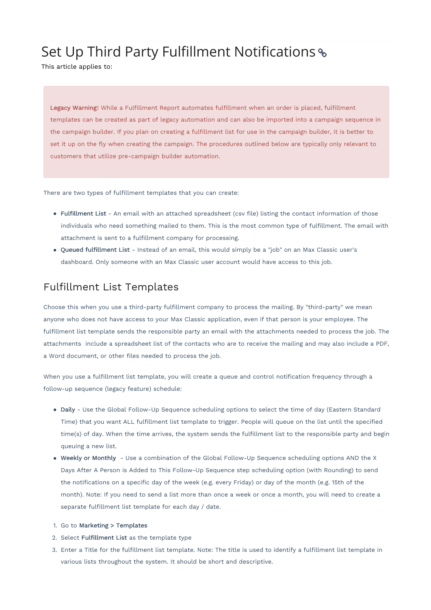## Set Up Third Party Fulfillment Notifications

This article applies to:

Legacy Warning! While a Fulfillment Report automates fulfillment when an order is placed, fulfillment templates can be created as part of legacy automation and can also be imported into a campaign sequence in the campaign builder. If you plan on creating a fulfillment list for use in the campaign builder, it is better to set it up on the fly when creating the campaign. The procedures outlined below are typically only relevant to customers that utilize pre-campaign builder automation.

There are two types of fulfillment templates that you can create:

- Fulfillment List An email with an attached spreadsheet (csv file) listing the contact information of those individuals who need something mailed to them. This is the most common type of fulfillment. The email with attachment is sent to a fulfillment company for processing.
- Queued fulfillment List Instead of an email, this would simply be a "job" on an Max Classic user's dashboard. Only someone with an Max Classic user account would have access to this job.

## Fulfillment List Templates

Choose this when you use a third-party fulfillment company to process the mailing. By "third-party" we mean anyone who does not have access to your Max Classic application, even if that person is your employee. The fulfillment list template sends the responsible party an email with the attachments needed to process the job. The attachments include a spreadsheet list of the contacts who are to receive the mailing and may also include a PDF, a Word document, or other files needed to process the job.

When you use a fulfillment list template, you will create a queue and control notification frequency through a follow-up sequence (legacy feature) schedule:

- Daily Use the Global Follow-Up Sequence scheduling options to select the time of day (Eastern Standard Time) that you want ALL fulfillment list template to trigger. People will queue on the list until the specified time(s) of day. When the time arrives, the system sends the fulfillment list to the responsible party and begin queuing a new list.
- Weekly or Monthly Use a combination of the Global Follow-Up Sequence scheduling options AND the X Days After A Person is Added to This Follow-Up Sequence step scheduling option (with Rounding) to send the notifications on a specific day of the week (e.g. every Friday) or day of the month (e.g. 15th of the month). Note: If you need to send a list more than once a week or once a month, you will need to create a separate fulfillment list template for each day / date.
- 1. Go to Marketing > Templates
- 2. Select Fulfillment List as the template type
- 3. Enter a Title for the fulfillment list template. Note: The title is used to identify a fulfillment list template in various lists throughout the system. It should be short and descriptive.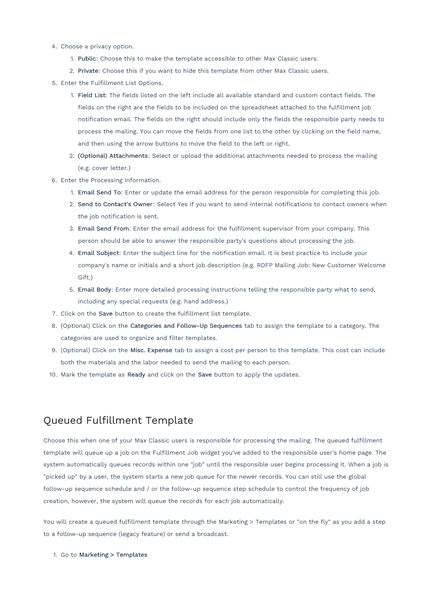- 4. Choose a privacy option.
	- 1. Public: Choose this to make the template accessible to other Max Classic users.
	- 2. Private: Choose this if you want to hide this template from other Max Classic users.
- 5. Enter the Fulfillment List Options.
	- 1. Field List: The fields listed on the left include all available standard and custom contact fields. The fields on the right are the fields to be included on the spreadsheet attached to the fulfillment job notification email. The fields on the right should include only the fields the responsible party needs to process the mailing. You can move the fields from one list to the other by clicking on the field name, and then using the arrow buttons to move the field to the left or right.
	- 2. (Optional) Attachments: Select or upload the additional attachments needed to process the mailing (e.g. cover letter.)
- 6. Enter the Processing Information.
	- 1. Email Send To: Enter or update the email address for the person responsible for completing this job.
	- 2. Send to Contact's Owner: Select Yes if you want to send internal notifications to contact owners when the job notification is sent.
	- 3. Email Send From: Enter the email address for the fulfillment supervisor from your company. This person should be able to answer the responsible party's questions about processing the job.
	- 4. Email Subject: Enter the subject line for the notification email. It is best practice to include your company's name or initials and a short job description (e.g. RDFP Mailing Job: New Customer Welcome Gift.)
	- 5. Email Body: Enter more detailed processing instructions telling the responsible party what to send, including any special requests (e.g. hand address.)
- 7. Click on the Save button to create the fulfillment list template.
- 8. (Optional) Click on the Categories and Follow-Up Sequences tab to assign the template to a category. The categories are used to organize and filter templates.
- 9. (Optional) Click on the Misc. Expense tab to assign a cost per person to this template. This cost can include both the materials and the labor needed to send the mailing to each person.
- 10. Mark the template as Ready and click on the Save button to apply the updates.

## Queued Fulfillment Template

Choose this when one of your Max Classic users is responsible for processing the mailing. The queued fulfillment template will queue up a job on the Fulfillment Job widget you've added to the responsible user's home page. The system automatically queues records within one "job" until the responsible user begins processing it. When a job is "picked up" by a user, the system starts a new job queue for the newer records. You can still use the global follow-up sequence schedule and / or the follow-up sequence step schedule to control the frequency of job creation, however, the system will queue the records for each job automatically.

You will create a queued fulfillment template through the Marketing > Templates or "on the fly" as you add a step to a follow-up sequence (legacy feature) or send a broadcast.

## 1. Go to Marketing > Templates